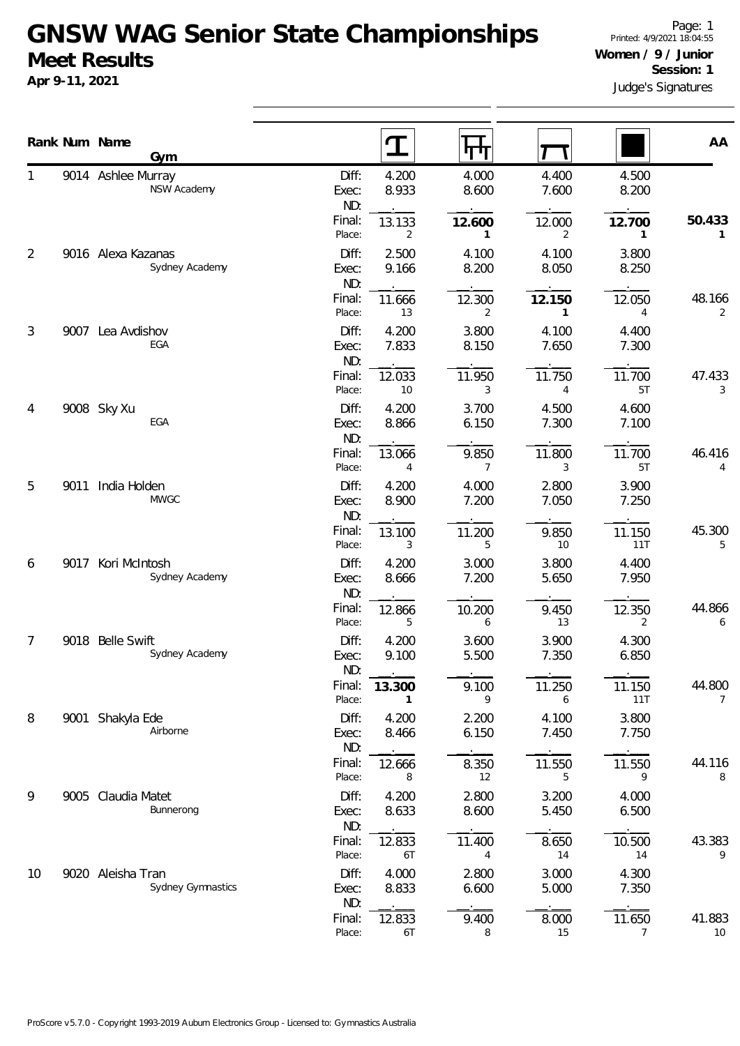## **GNSW WAG Senior State Championships Meet Results**

**Apr 9-11, 2021**

|    |      | Rank Num Name                            |                       | T              | पाप                      |                          |                          | AA           |
|----|------|------------------------------------------|-----------------------|----------------|--------------------------|--------------------------|--------------------------|--------------|
|    |      | Gym<br>9014 Ashlee Murray<br>NSW Academy | Diff:<br>Exec:<br>ND: | 4.200<br>8.933 | 4.000<br>8.600           | 4.400<br>7.600           | 4.500<br>8.200           |              |
|    |      |                                          | Final:<br>Place:      | 13.133<br>2    | 12.600<br>$\mathbf{1}$   | 12.000<br>2              | 12.700<br>1              | 50.433<br>1  |
| 2  |      | 9016 Alexa Kazanas<br>Sydney Academy     | Diff:<br>Exec:<br>ND: | 2.500<br>9.166 | 4.100<br>8.200           | 4.100<br>8.050           | 3.800<br>8.250           |              |
|    |      |                                          | Final:<br>Place:      | 11.666<br>13   | 12.300<br>$\overline{2}$ | 12.150<br>$\mathbf{1}$   | 12.050<br>4              | 48.166<br>2  |
| 3  |      | 9007 Lea Avdishov<br>EGA                 | Diff:<br>Exec:<br>ND: | 4.200<br>7.833 | 3.800<br>8.150           | 4.100<br>7.650           | 4.400<br>7.300           |              |
|    |      |                                          | Final:<br>Place:      | 12.033<br>10   | 11.950<br>3              | 11.750<br>4              | 11.700<br>5T             | 47.433<br>3  |
| 4  |      | 9008 Sky Xu<br>EGA                       | Diff:<br>Exec:<br>ND: | 4.200<br>8.866 | 3.700<br>6.150           | 4.500<br>7.300           | 4.600<br>7.100           |              |
|    |      |                                          | Final:<br>Place:      | 13.066<br>4    | 9.850<br>7               | 11.800<br>3              | 11.700<br>5T             | 46.416<br>4  |
| 5  | 9011 | India Holden<br><b>MWGC</b>              | Diff:<br>Exec:<br>ND: | 4.200<br>8.900 | 4.000<br>7.200           | 2.800<br>7.050           | 3.900<br>7.250           |              |
|    |      |                                          | Final:<br>Place:      | 13.100<br>3    | 11.200<br>5              | 9.850<br>10 <sup>°</sup> | 11.150<br>11T            | 45.300<br>5  |
| 6  | 9017 | Kori McIntosh<br>Sydney Academy          | Diff:<br>Exec:<br>ND: | 4.200<br>8.666 | 3.000<br>7.200           | 3.800<br>5.650           | 4.400<br>7.950           |              |
|    |      |                                          | Final:<br>Place:      | 12.866<br>5    | 10.200<br>6              | 9.450<br>13              | 12.350<br>2              | 44.866<br>6  |
| 7  |      | 9018 Belle Swift<br>Sydney Academy       | Diff:<br>Exec:<br>ND: | 4.200<br>9.100 | 3.600<br>5.500           | 3.900<br>7.350           | 4.300<br>6.850           |              |
|    |      |                                          | Final:<br>Place:      | 13.300<br>-1   | 9.100<br>9               | 11.250<br>6              | 11.150<br>11T            | 44.800<br>7  |
| 8  |      | 9001 Shakyla Ede<br>Airborne             | Diff:<br>Exec:<br>ND: | 4.200<br>8.466 | 2.200<br>6.150           | 4.100<br>7.450           | 3.800<br>7.750           |              |
|    |      |                                          | Final:<br>Place:      | 12.666<br>8    | 8.350<br>12              | 11.550<br>5              | 11.550<br>9              | 44.116<br>8  |
| 9  |      | 9005 Claudia Matet<br>Bunnerong          | Diff:<br>Exec:<br>ND: | 4.200<br>8.633 | 2.800<br>8.600           | 3.200<br>5.450           | 4.000<br>6.500           |              |
|    |      |                                          | Final:<br>Place:      | 12.833<br>6T   | 11.400<br>$\overline{4}$ | 8.650<br>14              | 10.500<br>14             | 43.383<br>9  |
| 10 |      | 9020 Aleisha Tran<br>Sydney Gymnastics   | Diff:<br>Exec:<br>ND: | 4.000<br>8.833 | 2.800<br>6.600           | 3.000<br>5.000           | 4.300<br>7.350           |              |
|    |      |                                          | Final:<br>Place:      | 12.833<br>6T   | 9.400<br>8               | 8.000<br>15              | 11.650<br>$\overline{7}$ | 41.883<br>10 |